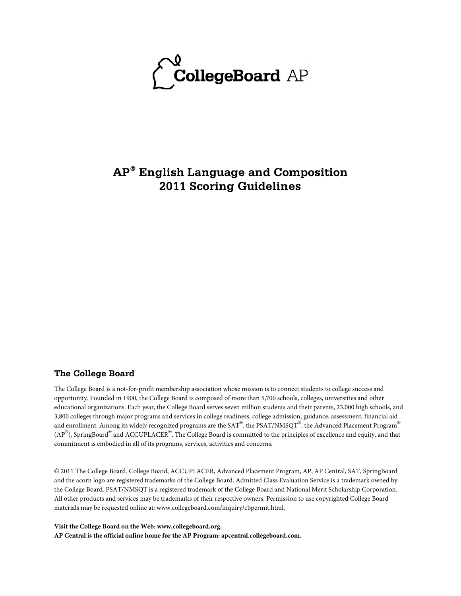

# **AP® English Language and Composition 2011 Scoring Guidelines**

#### **The College Board**

The College Board is a not-for-profit membership association whose mission is to connect students to college success and opportunity. Founded in 1900, the College Board is composed of more than 5,700 schools, colleges, universities and other educational organizations. Each year, the College Board serves seven million students and their parents, 23,000 high schools, and 3,800 colleges through major programs and services in college readiness, college admission, guidance, assessment, financial aid and enrollment. Among its widely recognized programs are the SAT®, the PSAT/NMSQT®, the Advanced Placement Program® (AP $^{\circledR}$ ), SpringBoard $^{\circledR}$  and ACCUPLACER $^{\circledR}$ . The College Board is committed to the principles of excellence and equity, and that commitment is embodied in all of its programs, services, activities and concerns.

© 2011 The College Board. College Board, ACCUPLACER, Advanced Placement Program, AP, AP Central, SAT, SpringBoard and the acorn logo are registered trademarks of the College Board. Admitted Class Evaluation Service is a trademark owned by the College Board. PSAT/NMSQT is a registered trademark of the College Board and National Merit Scholarship Corporation. All other products and services may be trademarks of their respective owners. Permission to use copyrighted College Board materials may be requested online at: www.collegeboard.com/inquiry/cbpermit.html.

**Visit the College Board on the Web: www.collegeboard.org.**

**AP Central is the official online home for the AP Program: apcentral.collegeboard.com.**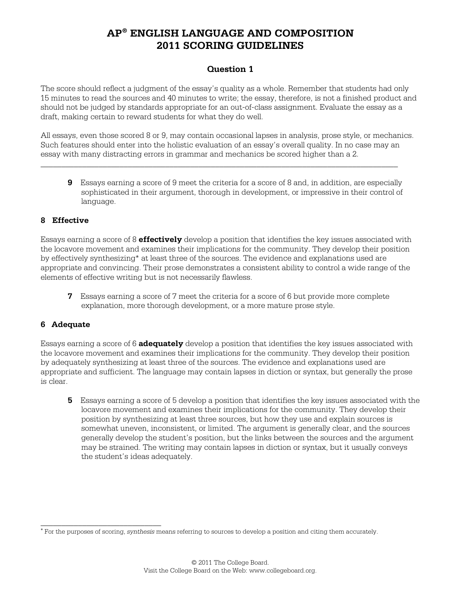### **Question 1**

The score should reflect a judgment of the essay's quality as a whole. Remember that students had only 15 minutes to read the sources and 40 minutes to write; the essay, therefore, is not a finished product and should not be judged by standards appropriate for an out-of-class assignment. Evaluate the essay as a draft, making certain to reward students for what they do well.

All essays, even those scored 8 or 9, may contain occasional lapses in analysis, prose style, or mechanics. Such features should enter into the holistic evaluation of an essay's overall quality. In no case may an essay with many distracting errors in grammar and mechanics be scored higher than a 2.

\_\_\_\_\_\_\_\_\_\_\_\_\_\_\_\_\_\_\_\_\_\_\_\_\_\_\_\_\_\_\_\_\_\_\_\_\_\_\_\_\_\_\_\_\_\_\_\_\_\_\_\_\_\_\_\_\_\_\_\_\_\_\_\_\_\_\_\_\_\_\_\_\_\_\_\_\_\_\_\_\_\_\_\_\_\_

**9** Essays earning a score of 9 meet the criteria for a score of 8 and, in addition, are especially sophisticated in their argument, thorough in development, or impressive in their control of language.

#### **8 Effective**

Essays earning a score of 8 **effectively** develop a position that identifies the key issues associated with the locavore movement and examines their implications for the community. They develop their position by effectively synthesizing\* at least three of the sources. The evidence and explanations used are appropriate and convincing. Their prose demonstrates a consistent ability to control a wide range of the elements of effective writing but is not necessarily flawless.

**7** Essays earning a score of 7 meet the criteria for a score of 6 but provide more complete explanation, more thorough development, or a more mature prose style.

#### **6 Adequate**

\_\_\_\_\_\_\_\_\_\_\_\_\_\_\_\_\_\_\_\_\_\_\_\_\_\_\_\_\_

Essays earning a score of 6 **adequately** develop a position that identifies the key issues associated with the locavore movement and examines their implications for the community. They develop their position by adequately synthesizing at least three of the sources. The evidence and explanations used are appropriate and sufficient. The language may contain lapses in diction or syntax, but generally the prose is clear.

**5** Essays earning a score of 5 develop a position that identifies the key issues associated with the locavore movement and examines their implications for the community. They develop their position by synthesizing at least three sources, but how they use and explain sources is somewhat uneven, inconsistent, or limited. The argument is generally clear, and the sources generally develop the student's position, but the links between the sources and the argument may be strained. The writing may contain lapses in diction or syntax, but it usually conveys the student's ideas adequately.

<sup>∗</sup> For the purposes of scoring, *synthesis* means referring to sources to develop a position and citing them accurately.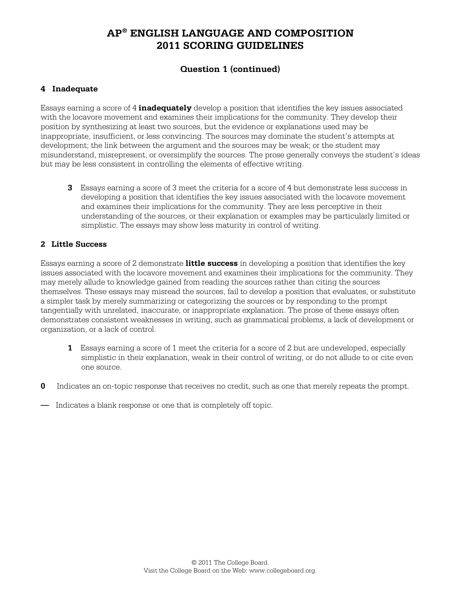## **Question 1 (continued)**

### **4 Inadequate**

Essays earning a score of 4 **inadequately** develop a position that identifies the key issues associated with the locavore movement and examines their implications for the community. They develop their position by synthesizing at least two sources, but the evidence or explanations used may be inappropriate, insufficient, or less convincing. The sources may dominate the student's attempts at development; the link between the argument and the sources may be weak; or the student may misunderstand, misrepresent, or oversimplify the sources. The prose generally conveys the student's ideas but may be less consistent in controlling the elements of effective writing.

**3** Essays earning a score of 3 meet the criteria for a score of 4 but demonstrate less success in developing a position that identifies the key issues associated with the locavore movement and examines their implications for the community. They are less perceptive in their understanding of the sources, or their explanation or examples may be particularly limited or simplistic. The essays may show less maturity in control of writing.

### **2 Little Success**

Essays earning a score of 2 demonstrate **little success** in developing a position that identifies the key issues associated with the locavore movement and examines their implications for the community. They may merely allude to knowledge gained from reading the sources rather than citing the sources themselves. These essays may misread the sources, fail to develop a position that evaluates, or substitute a simpler task by merely summarizing or categorizing the sources or by responding to the prompt tangentially with unrelated, inaccurate, or inappropriate explanation. The prose of these essays often demonstrates consistent weaknesses in writing, such as grammatical problems, a lack of development or organization, or a lack of control.

- **1** Essays earning a score of 1 meet the criteria for a score of 2 but are undeveloped, especially simplistic in their explanation, weak in their control of writing, or do not allude to or cite even one source.
- **0** Indicates an on-topic response that receives no credit, such as one that merely repeats the prompt.
- Indicates a blank response or one that is completely off topic.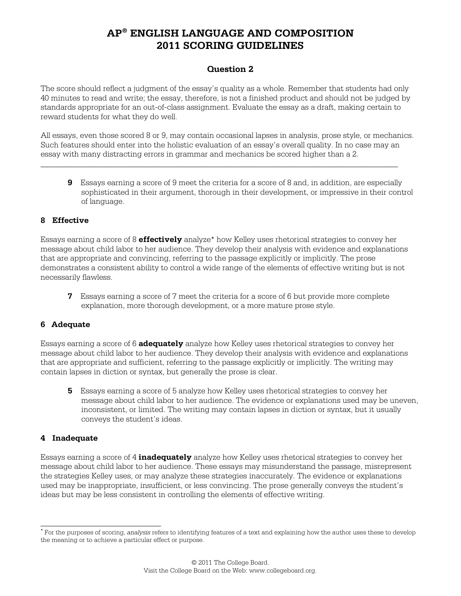### **Question 2**

The score should reflect a judgment of the essay's quality as a whole. Remember that students had only 40 minutes to read and write; the essay, therefore, is not a finished product and should not be judged by standards appropriate for an out-of-class assignment. Evaluate the essay as a draft, making certain to reward students for what they do well.

All essays, even those scored 8 or 9, may contain occasional lapses in analysis, prose style, or mechanics. Such features should enter into the holistic evaluation of an essay's overall quality. In no case may an essay with many distracting errors in grammar and mechanics be scored higher than a 2.

\_\_\_\_\_\_\_\_\_\_\_\_\_\_\_\_\_\_\_\_\_\_\_\_\_\_\_\_\_\_\_\_\_\_\_\_\_\_\_\_\_\_\_\_\_\_\_\_\_\_\_\_\_\_\_\_\_\_\_\_\_\_\_\_\_\_\_\_\_\_\_\_\_\_\_\_\_\_\_\_\_\_\_\_\_\_

**9** Essays earning a score of 9 meet the criteria for a score of 8 and, in addition, are especially sophisticated in their argument, thorough in their development, or impressive in their control of language.

#### **8 Effective**

Essays earning a score of 8 **effectively** analyze\* how Kelley uses rhetorical strategies to convey her message about child labor to her audience. They develop their analysis with evidence and explanations that are appropriate and convincing, referring to the passage explicitly or implicitly. The prose demonstrates a consistent ability to control a wide range of the elements of effective writing but is not necessarily flawless.

**7** Essays earning a score of 7 meet the criteria for a score of 6 but provide more complete explanation, more thorough development, or a more mature prose style.

#### **6 Adequate**

Essays earning a score of 6 **adequately** analyze how Kelley uses rhetorical strategies to convey her message about child labor to her audience. They develop their analysis with evidence and explanations that are appropriate and sufficient, referring to the passage explicitly or implicitly. The writing may contain lapses in diction or syntax, but generally the prose is clear.

**5** Essays earning a score of 5 analyze how Kelley uses rhetorical strategies to convey her message about child labor to her audience. The evidence or explanations used may be uneven, inconsistent, or limited. The writing may contain lapses in diction or syntax, but it usually conveys the student's ideas.

#### **4 Inadequate**

\_\_\_\_\_\_\_\_\_\_\_\_\_\_\_\_\_\_\_\_\_\_\_\_\_\_\_\_\_

Essays earning a score of 4 **inadequately** analyze how Kelley uses rhetorical strategies to convey her message about child labor to her audience. These essays may misunderstand the passage, misrepresent the strategies Kelley uses, or may analyze these strategies inaccurately. The evidence or explanations used may be inappropriate, insufficient, or less convincing. The prose generally conveys the student's ideas but may be less consistent in controlling the elements of effective writing.

<sup>∗</sup> For the purposes of scoring, *analysis* refers to identifying features of a text and explaining how the author uses these to develop the meaning or to achieve a particular effect or purpose.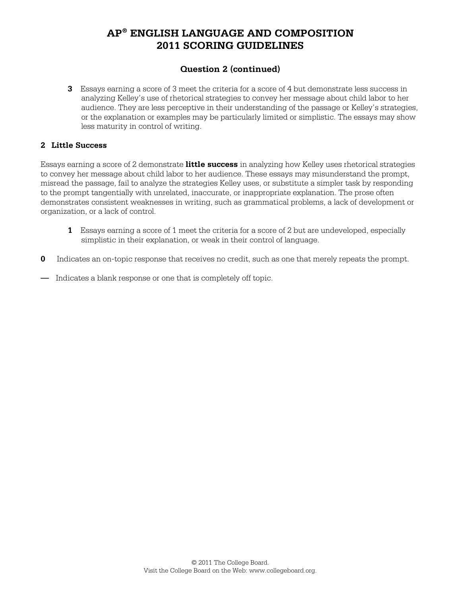## **Question 2 (continued)**

**3** Essays earning a score of 3 meet the criteria for a score of 4 but demonstrate less success in analyzing Kelley's use of rhetorical strategies to convey her message about child labor to her audience. They are less perceptive in their understanding of the passage or Kelley's strategies, or the explanation or examples may be particularly limited or simplistic. The essays may show less maturity in control of writing.

#### **2 Little Success**

Essays earning a score of 2 demonstrate **little success** in analyzing how Kelley uses rhetorical strategies to convey her message about child labor to her audience. These essays may misunderstand the prompt, misread the passage, fail to analyze the strategies Kelley uses, or substitute a simpler task by responding to the prompt tangentially with unrelated, inaccurate, or inappropriate explanation. The prose often demonstrates consistent weaknesses in writing, such as grammatical problems, a lack of development or organization, or a lack of control.

- **1** Essays earning a score of 1 meet the criteria for a score of 2 but are undeveloped, especially simplistic in their explanation, or weak in their control of language.
- **0** Indicates an on-topic response that receives no credit, such as one that merely repeats the prompt.
- Indicates a blank response or one that is completely off topic.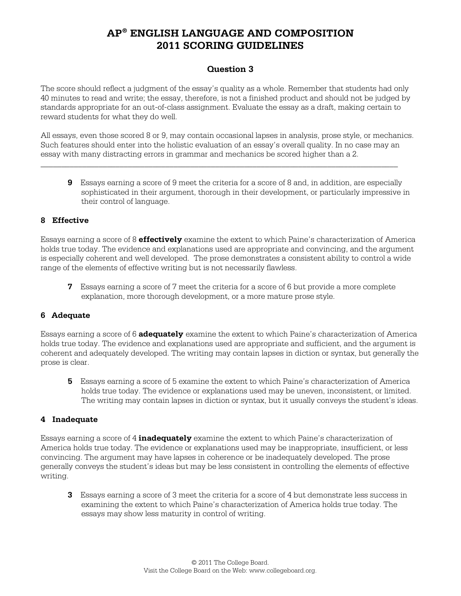### **Question 3**

The score should reflect a judgment of the essay's quality as a whole. Remember that students had only 40 minutes to read and write; the essay, therefore, is not a finished product and should not be judged by standards appropriate for an out-of-class assignment. Evaluate the essay as a draft, making certain to reward students for what they do well.

All essays, even those scored 8 or 9, may contain occasional lapses in analysis, prose style, or mechanics. Such features should enter into the holistic evaluation of an essay's overall quality. In no case may an essay with many distracting errors in grammar and mechanics be scored higher than a 2.

\_\_\_\_\_\_\_\_\_\_\_\_\_\_\_\_\_\_\_\_\_\_\_\_\_\_\_\_\_\_\_\_\_\_\_\_\_\_\_\_\_\_\_\_\_\_\_\_\_\_\_\_\_\_\_\_\_\_\_\_\_\_\_\_\_\_\_\_\_\_\_\_\_\_\_\_\_\_\_\_\_\_\_\_\_\_

**9** Essays earning a score of 9 meet the criteria for a score of 8 and, in addition, are especially sophisticated in their argument, thorough in their development, or particularly impressive in their control of language.

#### **8 Effective**

Essays earning a score of 8 **effectively** examine the extent to which Paine's characterization of America holds true today. The evidence and explanations used are appropriate and convincing, and the argument is especially coherent and well developed. The prose demonstrates a consistent ability to control a wide range of the elements of effective writing but is not necessarily flawless.

**7** Essays earning a score of 7 meet the criteria for a score of 6 but provide a more complete explanation, more thorough development, or a more mature prose style.

#### **6 Adequate**

Essays earning a score of 6 **adequately** examine the extent to which Paine's characterization of America holds true today. The evidence and explanations used are appropriate and sufficient, and the argument is coherent and adequately developed. The writing may contain lapses in diction or syntax, but generally the prose is clear.

**5** Essays earning a score of 5 examine the extent to which Paine's characterization of America holds true today. The evidence or explanations used may be uneven, inconsistent, or limited. The writing may contain lapses in diction or syntax, but it usually conveys the student's ideas.

#### **4 Inadequate**

Essays earning a score of 4 **inadequately** examine the extent to which Paine's characterization of America holds true today. The evidence or explanations used may be inappropriate, insufficient, or less convincing. The argument may have lapses in coherence or be inadequately developed. The prose generally conveys the student's ideas but may be less consistent in controlling the elements of effective writing.

**3** Essays earning a score of 3 meet the criteria for a score of 4 but demonstrate less success in examining the extent to which Paine's characterization of America holds true today. The essays may show less maturity in control of writing.